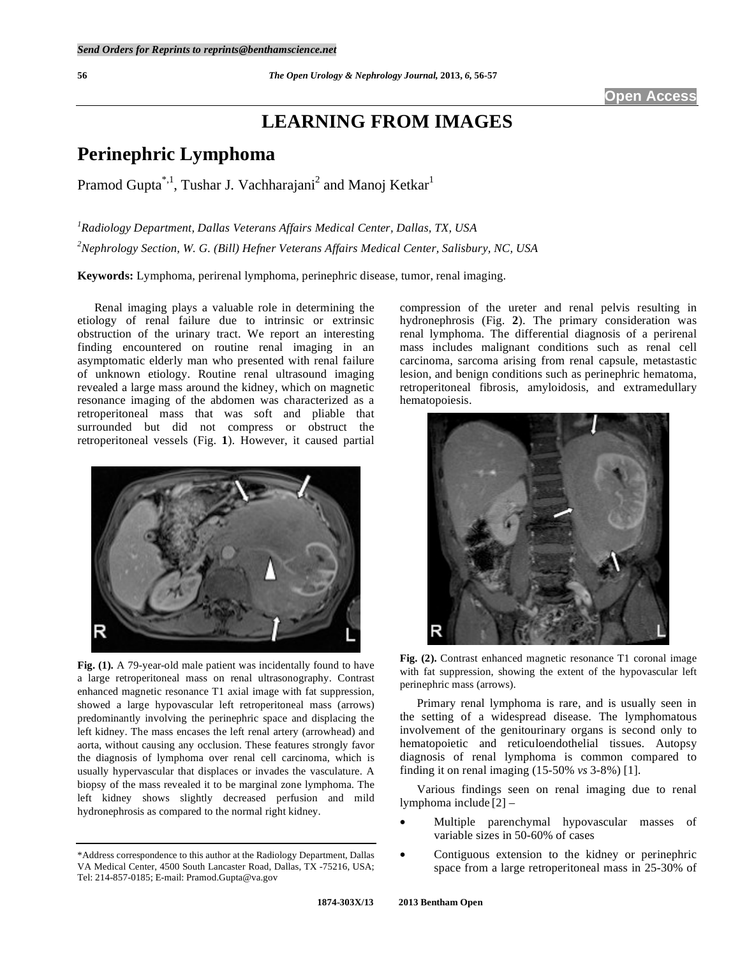# **LEARNING FROM IMAGES**

## **Perinephric Lymphoma**

Pramod Gupta<sup>\*,1</sup>, Tushar J. Vachharajani<sup>2</sup> and Manoj Ketkar<sup>1</sup>

*1 Radiology Department, Dallas Veterans Affairs Medical Center, Dallas, TX, USA 2 Nephrology Section, W. G. (Bill) Hefner Veterans Affairs Medical Center, Salisbury, NC, USA* 

**Keywords:** Lymphoma, perirenal lymphoma, perinephric disease, tumor, renal imaging.

 Renal imaging plays a valuable role in determining the etiology of renal failure due to intrinsic or extrinsic obstruction of the urinary tract. We report an interesting finding encountered on routine renal imaging in an asymptomatic elderly man who presented with renal failure of unknown etiology. Routine renal ultrasound imaging revealed a large mass around the kidney, which on magnetic resonance imaging of the abdomen was characterized as a retroperitoneal mass that was soft and pliable that surrounded but did not compress or obstruct the retroperitoneal vessels (Fig. **1**). However, it caused partial



**Fig. (1).** A 79-year-old male patient was incidentally found to have a large retroperitoneal mass on renal ultrasonography. Contrast enhanced magnetic resonance T1 axial image with fat suppression, showed a large hypovascular left retroperitoneal mass (arrows) predominantly involving the perinephric space and displacing the left kidney. The mass encases the left renal artery (arrowhead) and aorta, without causing any occlusion. These features strongly favor the diagnosis of lymphoma over renal cell carcinoma, which is usually hypervascular that displaces or invades the vasculature. A biopsy of the mass revealed it to be marginal zone lymphoma. The left kidney shows slightly decreased perfusion and mild hydronephrosis as compared to the normal right kidney.

compression of the ureter and renal pelvis resulting in hydronephrosis (Fig. **2**). The primary consideration was renal lymphoma. The differential diagnosis of a perirenal mass includes malignant conditions such as renal cell carcinoma, sarcoma arising from renal capsule, metastastic lesion, and benign conditions such as perinephric hematoma, retroperitoneal fibrosis, amyloidosis, and extramedullary hematopoiesis.





 Primary renal lymphoma is rare, and is usually seen in the setting of a widespread disease. The lymphomatous involvement of the genitourinary organs is second only to hematopoietic and reticuloendothelial tissues. Autopsy diagnosis of renal lymphoma is common compared to finding it on renal imaging (15-50% *vs* 3-8%) [1].

 Various findings seen on renal imaging due to renal lymphoma include [2] –

- Multiple parenchymal hypovascular masses of variable sizes in 50-60% of cases
- Contiguous extension to the kidney or perinephric space from a large retroperitoneal mass in 25-30% of

<sup>\*</sup>Address correspondence to this author at the Radiology Department, Dallas VA Medical Center, 4500 South Lancaster Road, Dallas, TX -75216, USA; Tel: 214-857-0185; E-mail: Pramod.Gupta@va.gov